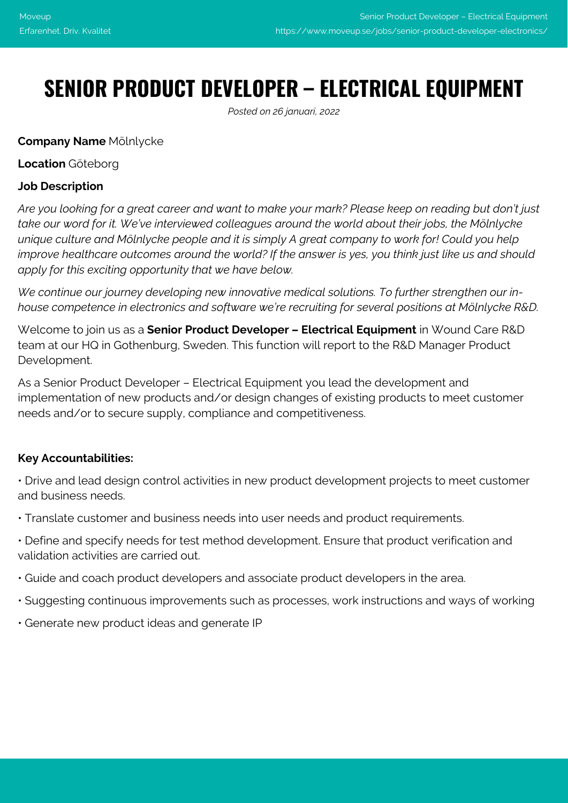# **SENIOR PRODUCT DEVELOPER – ELECTRICAL EQUIPMENT**

*Posted on 26 januari, 2022*

# **Company Name** Mölnlycke

#### **Location** Göteborg

# **Job Description**

*Are you looking for a great career and want to make your mark? Please keep on reading but don't just take our word for it. We've interviewed colleagues around the world about their jobs, the Mölnlycke unique culture and Mölnlycke people and it is simply A great company to work for! Could you help improve healthcare outcomes around the world? If the answer is yes, you think just like us and should apply for this exciting opportunity that we have below.*

*We continue our journey developing new innovative medical solutions. To further strengthen our inhouse competence in electronics and software we're recruiting for several positions at Mölnlycke R&D.*

Welcome to join us as a **Senior Product Developer – Electrical Equipment** in Wound Care R&D team at our HQ in Gothenburg, Sweden. This function will report to the R&D Manager Product Development.

As a Senior Product Developer – Electrical Equipment you lead the development and implementation of new products and/or design changes of existing products to meet customer needs and/or to secure supply, compliance and competitiveness.

## **Key Accountabilities:**

• Drive and lead design control activities in new product development projects to meet customer and business needs.

- Translate customer and business needs into user needs and product requirements.
- Define and specify needs for test method development. Ensure that product verification and validation activities are carried out.
- Guide and coach product developers and associate product developers in the area.
- Suggesting continuous improvements such as processes, work instructions and ways of working
- Generate new product ideas and generate IP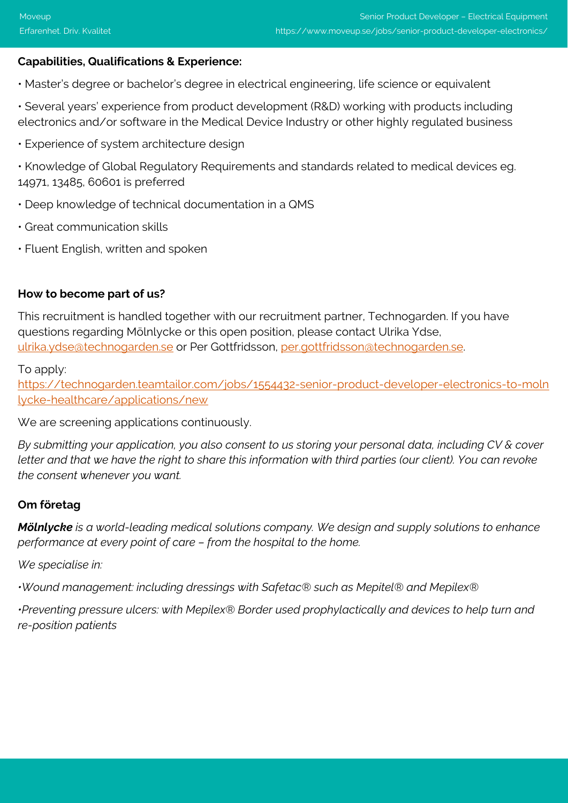### **Capabilities, Qualifications & Experience:**

- Master's degree or bachelor's degree in electrical engineering, life science or equivalent
- Several years' experience from product development (R&D) working with products including electronics and/or software in the Medical Device Industry or other highly regulated business
- Experience of system architecture design
- Knowledge of Global Regulatory Requirements and standards related to medical devices eg. 14971, 13485, 60601 is preferred
- Deep knowledge of technical documentation in a QMS
- Great communication skills
- Fluent English, written and spoken

#### **How to become part of us?**

This recruitment is handled together with our recruitment partner, Technogarden. If you have questions regarding Mölnlycke or this open position, please contact Ulrika Ydse, [ulrika.ydse@technogarden.se](mailto:ulrika.ydse@technogarden.se) or Per Gottfridsson, [per.gottfridsson@technogarden.se.](mailto:per.gottfridsson@technogarden.se)

To apply:

[https://technogarden.teamtailor.com/jobs/1554432-senior-product-developer-electronics-to-moln](https://technogarden.teamtailor.com/jobs/1554432-senior-product-developer-electronics-to-molnlycke-healthcare/applications/new) [lycke-healthcare/applications/new](https://technogarden.teamtailor.com/jobs/1554432-senior-product-developer-electronics-to-molnlycke-healthcare/applications/new)

We are screening applications continuously.

*By submitting your application, you also consent to us storing your personal data, including CV & cover letter and that we have the right to share this information with third parties (our client). You can revoke the consent whenever you want.*

#### **Om företag**

*Mölnlycke is a world-leading medical solutions company. We design and supply solutions to enhance performance at every point of care – from the hospital to the home.*

*We specialise in:*

*•Wound management: including dressings with Safetac® such as Mepitel® and Mepilex®*

*•Preventing pressure ulcers: with Mepilex® Border used prophylactically and devices to help turn and re-position patients*